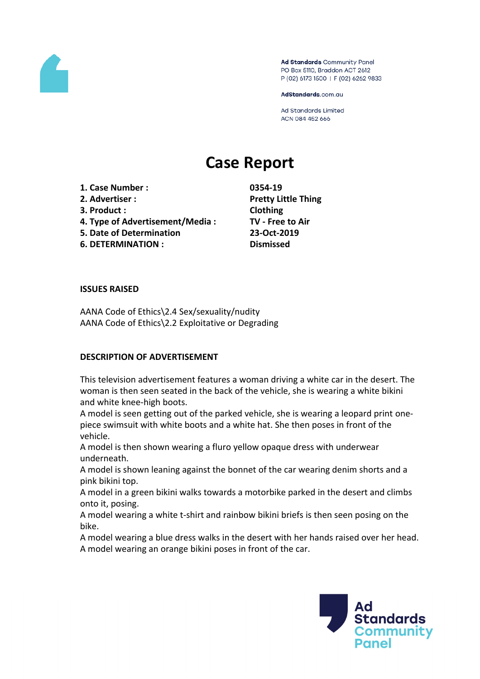

Ad Standards Community Panel PO Box 5110, Braddon ACT 2612 P (02) 6173 1500 | F (02) 6262 9833

AdStandards.com.au

**Ad Standards Limited** ACN 084 452 666

# **Case Report**

**1. Case Number : 0354-19**

- 
- **3. Product : Clothing**
- **4. Type of Advertisement/Media : TV - Free to Air**
- **5. Date of Determination 23-Oct-2019**

**6. DETERMINATION : Dismissed**

**2. Advertiser : Pretty Little Thing**

## **ISSUES RAISED**

AANA Code of Ethics\2.4 Sex/sexuality/nudity AANA Code of Ethics\2.2 Exploitative or Degrading

# **DESCRIPTION OF ADVERTISEMENT**

This television advertisement features a woman driving a white car in the desert. The woman is then seen seated in the back of the vehicle, she is wearing a white bikini and white knee-high boots.

A model is seen getting out of the parked vehicle, she is wearing a leopard print onepiece swimsuit with white boots and a white hat. She then poses in front of the vehicle.

A model is then shown wearing a fluro yellow opaque dress with underwear underneath.

A model is shown leaning against the bonnet of the car wearing denim shorts and a pink bikini top.

A model in a green bikini walks towards a motorbike parked in the desert and climbs onto it, posing.

A model wearing a white t-shirt and rainbow bikini briefs is then seen posing on the bike.

A model wearing a blue dress walks in the desert with her hands raised over her head. A model wearing an orange bikini poses in front of the car.

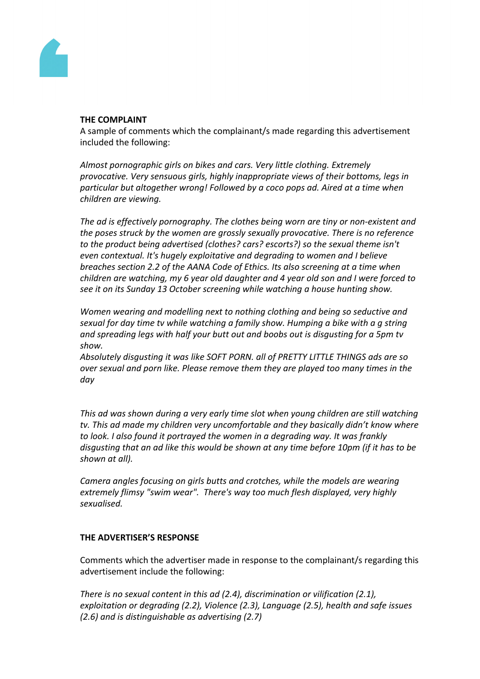

#### **THE COMPLAINT**

A sample of comments which the complainant/s made regarding this advertisement included the following:

*Almost pornographic girls on bikes and cars. Very little clothing. Extremely provocative. Very sensuous girls, highly inappropriate views of their bottoms, legs in particular but altogether wrong! Followed by a coco pops ad. Aired at a time when children are viewing.*

*The ad is effectively pornography. The clothes being worn are tiny or non-existent and the poses struck by the women are grossly sexually provocative. There is no reference to the product being advertised (clothes? cars? escorts?) so the sexual theme isn't even contextual. It's hugely exploitative and degrading to women and I believe breaches section 2.2 of the AANA Code of Ethics. Its also screening at a time when children are watching, my 6 year old daughter and 4 year old son and I were forced to see it on its Sunday 13 October screening while watching a house hunting show.*

*Women wearing and modelling next to nothing clothing and being so seductive and sexual for day time tv while watching a family show. Humping a bike with a g string and spreading legs with half your butt out and boobs out is disgusting for a 5pm tv show.*

*Absolutely disgusting it was like SOFT PORN. all of PRETTY LITTLE THINGS ads are so over sexual and porn like. Please remove them they are played too many times in the day*

*This ad was shown during a very early time slot when young children are still watching tv. This ad made my children very uncomfortable and they basically didn't know where to look. I also found it portrayed the women in a degrading way. It was frankly disgusting that an ad like this would be shown at any time before 10pm (if it has to be shown at all).*

*Camera angles focusing on girls butts and crotches, while the models are wearing extremely flimsy "swim wear". There's way too much flesh displayed, very highly sexualised.*

#### **THE ADVERTISER'S RESPONSE**

Comments which the advertiser made in response to the complainant/s regarding this advertisement include the following:

*There is no sexual content in this ad (2.4), discrimination or vilification (2.1), exploitation or degrading (2.2), Violence (2.3), Language (2.5), health and safe issues (2.6) and is distinguishable as advertising (2.7)*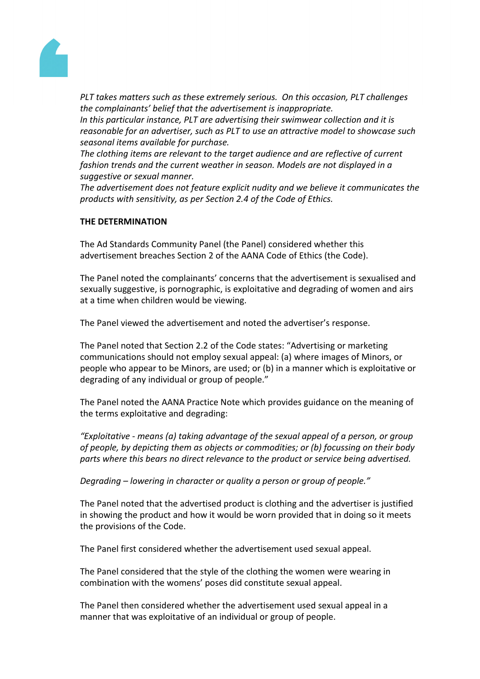

*PLT takes matters such as these extremely serious. On this occasion, PLT challenges the complainants' belief that the advertisement is inappropriate.* 

*In this particular instance, PLT are advertising their swimwear collection and it is reasonable for an advertiser, such as PLT to use an attractive model to showcase such seasonal items available for purchase.* 

*The clothing items are relevant to the target audience and are reflective of current fashion trends and the current weather in season. Models are not displayed in a suggestive or sexual manner.*

*The advertisement does not feature explicit nudity and we believe it communicates the products with sensitivity, as per Section 2.4 of the Code of Ethics.*

## **THE DETERMINATION**

The Ad Standards Community Panel (the Panel) considered whether this advertisement breaches Section 2 of the AANA Code of Ethics (the Code).

The Panel noted the complainants' concerns that the advertisement is sexualised and sexually suggestive, is pornographic, is exploitative and degrading of women and airs at a time when children would be viewing.

The Panel viewed the advertisement and noted the advertiser's response.

The Panel noted that Section 2.2 of the Code states: "Advertising or marketing communications should not employ sexual appeal: (a) where images of Minors, or people who appear to be Minors, are used; or (b) in a manner which is exploitative or degrading of any individual or group of people."

The Panel noted the AANA Practice Note which provides guidance on the meaning of the terms exploitative and degrading:

*"Exploitative - means (a) taking advantage of the sexual appeal of a person, or group of people, by depicting them as objects or commodities; or (b) focussing on their body parts where this bears no direct relevance to the product or service being advertised.*

*Degrading – lowering in character or quality a person or group of people."*

The Panel noted that the advertised product is clothing and the advertiser is justified in showing the product and how it would be worn provided that in doing so it meets the provisions of the Code.

The Panel first considered whether the advertisement used sexual appeal.

The Panel considered that the style of the clothing the women were wearing in combination with the womens' poses did constitute sexual appeal.

The Panel then considered whether the advertisement used sexual appeal in a manner that was exploitative of an individual or group of people.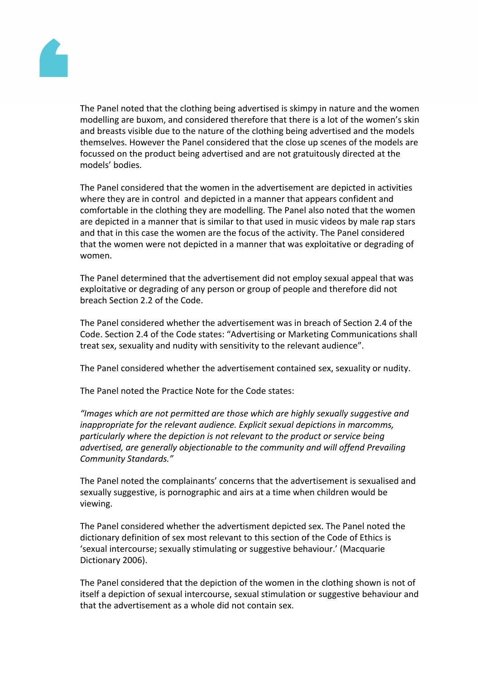

The Panel noted that the clothing being advertised is skimpy in nature and the women modelling are buxom, and considered therefore that there is a lot of the women's skin and breasts visible due to the nature of the clothing being advertised and the models themselves. However the Panel considered that the close up scenes of the models are focussed on the product being advertised and are not gratuitously directed at the models' bodies.

The Panel considered that the women in the advertisement are depicted in activities where they are in control and depicted in a manner that appears confident and comfortable in the clothing they are modelling. The Panel also noted that the women are depicted in a manner that is similar to that used in music videos by male rap stars and that in this case the women are the focus of the activity. The Panel considered that the women were not depicted in a manner that was exploitative or degrading of women.

The Panel determined that the advertisement did not employ sexual appeal that was exploitative or degrading of any person or group of people and therefore did not breach Section 2.2 of the Code.

The Panel considered whether the advertisement was in breach of Section 2.4 of the Code. Section 2.4 of the Code states: "Advertising or Marketing Communications shall treat sex, sexuality and nudity with sensitivity to the relevant audience".

The Panel considered whether the advertisement contained sex, sexuality or nudity.

The Panel noted the Practice Note for the Code states:

*"Images which are not permitted are those which are highly sexually suggestive and inappropriate for the relevant audience. Explicit sexual depictions in marcomms, particularly where the depiction is not relevant to the product or service being advertised, are generally objectionable to the community and will offend Prevailing Community Standards."*

The Panel noted the complainants' concerns that the advertisement is sexualised and sexually suggestive, is pornographic and airs at a time when children would be viewing.

The Panel considered whether the advertisment depicted sex. The Panel noted the dictionary definition of sex most relevant to this section of the Code of Ethics is 'sexual intercourse; sexually stimulating or suggestive behaviour.' (Macquarie Dictionary 2006).

The Panel considered that the depiction of the women in the clothing shown is not of itself a depiction of sexual intercourse, sexual stimulation or suggestive behaviour and that the advertisement as a whole did not contain sex.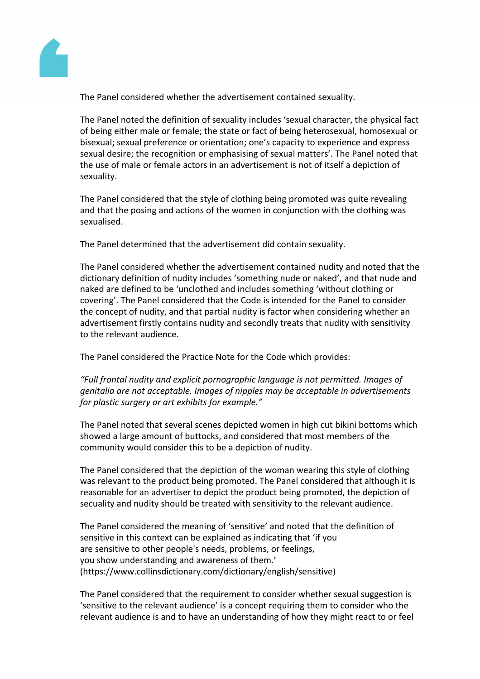

The Panel considered whether the advertisement contained sexuality.

The Panel noted the definition of sexuality includes 'sexual character, the physical fact of being either male or female; the state or fact of being heterosexual, homosexual or bisexual; sexual preference or orientation; one's capacity to experience and express sexual desire; the recognition or emphasising of sexual matters'. The Panel noted that the use of male or female actors in an advertisement is not of itself a depiction of sexuality.

The Panel considered that the style of clothing being promoted was quite revealing and that the posing and actions of the women in conjunction with the clothing was sexualised.

The Panel determined that the advertisement did contain sexuality.

The Panel considered whether the advertisement contained nudity and noted that the dictionary definition of nudity includes 'something nude or naked', and that nude and naked are defined to be 'unclothed and includes something 'without clothing or covering'. The Panel considered that the Code is intended for the Panel to consider the concept of nudity, and that partial nudity is factor when considering whether an advertisement firstly contains nudity and secondly treats that nudity with sensitivity to the relevant audience.

The Panel considered the Practice Note for the Code which provides:

*"Full frontal nudity and explicit pornographic language is not permitted. Images of genitalia are not acceptable. Images of nipples may be acceptable in advertisements for plastic surgery or art exhibits for example."*

The Panel noted that several scenes depicted women in high cut bikini bottoms which showed a large amount of buttocks, and considered that most members of the community would consider this to be a depiction of nudity.

The Panel considered that the depiction of the woman wearing this style of clothing was relevant to the product being promoted. The Panel considered that although it is reasonable for an advertiser to depict the product being promoted, the depiction of secuality and nudity should be treated with sensitivity to the relevant audience.

The Panel considered the meaning of 'sensitive' and noted that the definition of sensitive in this context can be explained as indicating that 'if you are sensitive to other people's needs, problems, or feelings, you show understanding and awareness of them.' (https://www.collinsdictionary.com/dictionary/english/sensitive)

The Panel considered that the requirement to consider whether sexual suggestion is 'sensitive to the relevant audience' is a concept requiring them to consider who the relevant audience is and to have an understanding of how they might react to or feel